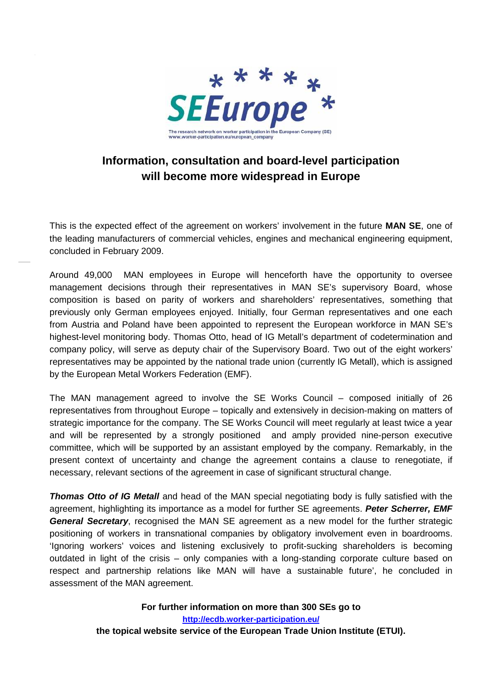

# **Information, consultation and board-level participation will become more widespread in Europe**

This is the expected effect of the agreement on workers' involvement in the future **MAN SE**, one of the leading manufacturers of commercial vehicles, engines and mechanical engineering equipment, concluded in February 2009.

Around 49,000 MAN employees in Europe will henceforth have the opportunity to oversee management decisions through their representatives in MAN SE's supervisory Board, whose composition is based on parity of workers and shareholders' representatives, something that previously only German employees enjoyed. Initially, four German representatives and one each from Austria and Poland have been appointed to represent the European workforce in MAN SE's highest-level monitoring body. Thomas Otto, head of IG Metall's department of codetermination and company policy, will serve as deputy chair of the Supervisory Board. Two out of the eight workers' representatives may be appointed by the national trade union (currently IG Metall), which is assigned by the European Metal Workers Federation (EMF).

The MAN management agreed to involve the SE Works Council – composed initially of 26 representatives from throughout Europe – topically and extensively in decision-making on matters of strategic importance for the company. The SE Works Council will meet regularly at least twice a year and will be represented by a strongly positioned and amply provided nine-person executive committee, which will be supported by an assistant employed by the company. Remarkably, in the present context of uncertainty and change the agreement contains a clause to renegotiate, if necessary, relevant sections of the agreement in case of significant structural change.

**Thomas Otto of IG Metall** and head of the MAN special negotiating body is fully satisfied with the agreement, highlighting its importance as a model for further SE agreements. **Peter Scherrer, EMF General Secretary**, recognised the MAN SE agreement as a new model for the further strategic positioning of workers in transnational companies by obligatory involvement even in boardrooms. 'Ignoring workers' voices and listening exclusively to profit-sucking shareholders is becoming outdated in light of the crisis – only companies with a long-standing corporate culture based on respect and partnership relations like MAN will have a sustainable future', he concluded in assessment of the MAN agreement.

> **For further information on more than 300 SEs go to http://ecdb.worker-participation.eu/ the topical website service of the European Trade Union Institute (ETUI).**